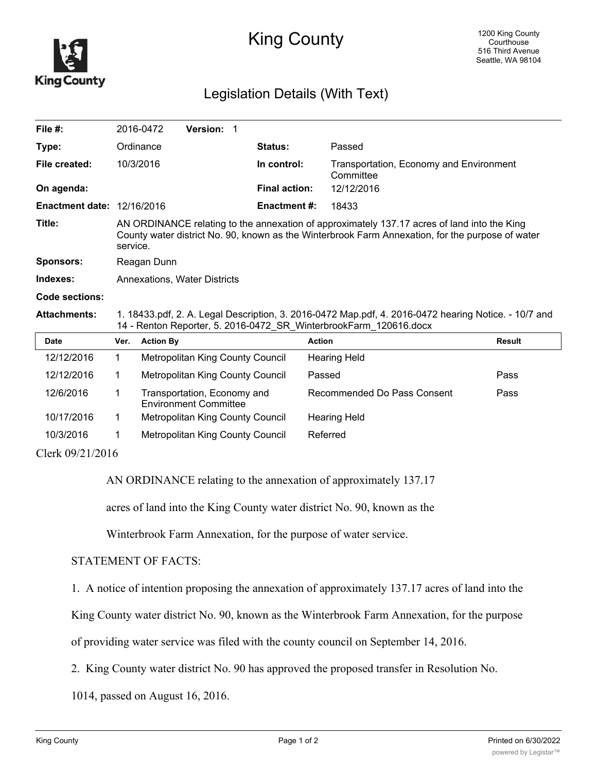

## King County

## Legislation Details (With Text)

| File $#$ :                        |                                                                                                                                                                                                             | 2016-0472        | Version: 1                                                  |  |                      |                                                      |               |
|-----------------------------------|-------------------------------------------------------------------------------------------------------------------------------------------------------------------------------------------------------------|------------------|-------------------------------------------------------------|--|----------------------|------------------------------------------------------|---------------|
| Type:                             |                                                                                                                                                                                                             | Ordinance        |                                                             |  | <b>Status:</b>       | Passed                                               |               |
| File created:                     |                                                                                                                                                                                                             | 10/3/2016        |                                                             |  | In control:          | Transportation, Economy and Environment<br>Committee |               |
| On agenda:                        |                                                                                                                                                                                                             |                  |                                                             |  | <b>Final action:</b> | 12/12/2016                                           |               |
| <b>Enactment date: 12/16/2016</b> |                                                                                                                                                                                                             |                  |                                                             |  | <b>Enactment #:</b>  | 18433                                                |               |
| Title:                            | AN ORDINANCE relating to the annexation of approximately 137.17 acres of land into the King<br>County water district No. 90, known as the Winterbrook Farm Annexation, for the purpose of water<br>service. |                  |                                                             |  |                      |                                                      |               |
| <b>Sponsors:</b>                  | Reagan Dunn                                                                                                                                                                                                 |                  |                                                             |  |                      |                                                      |               |
| Indexes:                          | <b>Annexations, Water Districts</b>                                                                                                                                                                         |                  |                                                             |  |                      |                                                      |               |
| Code sections:                    |                                                                                                                                                                                                             |                  |                                                             |  |                      |                                                      |               |
| <b>Attachments:</b>               | 1. 18433.pdf, 2. A. Legal Description, 3. 2016-0472 Map.pdf, 4. 2016-0472 hearing Notice. - 10/7 and<br>14 - Renton Reporter, 5. 2016-0472_SR_WinterbrookFarm_120616.docx                                   |                  |                                                             |  |                      |                                                      |               |
| <b>Date</b>                       | Ver.                                                                                                                                                                                                        | <b>Action By</b> |                                                             |  |                      | <b>Action</b>                                        | <b>Result</b> |
| 12/12/2016                        | 1                                                                                                                                                                                                           |                  | Metropolitan King County Council                            |  |                      | <b>Hearing Held</b>                                  |               |
| 12/12/2016                        | $\mathbf 1$                                                                                                                                                                                                 |                  | Metropolitan King County Council                            |  |                      | Passed                                               | Pass          |
| 12/6/2016                         | 1                                                                                                                                                                                                           |                  | Transportation, Economy and<br><b>Environment Committee</b> |  |                      | Recommended Do Pass Consent                          | Pass          |
| 10/17/2016                        | 1                                                                                                                                                                                                           |                  | Metropolitan King County Council                            |  |                      | Hearing Held                                         |               |

Clerk 09/21/2016

AN ORDINANCE relating to the annexation of approximately 137.17

acres of land into the King County water district No. 90, known as the

Winterbrook Farm Annexation, for the purpose of water service.

10/3/2016 1 Metropolitan King County Council Referred

## STATEMENT OF FACTS:

1. A notice of intention proposing the annexation of approximately 137.17 acres of land into the

King County water district No. 90, known as the Winterbrook Farm Annexation, for the purpose

of providing water service was filed with the county council on September 14, 2016.

2. King County water district No. 90 has approved the proposed transfer in Resolution No.

1014, passed on August 16, 2016.